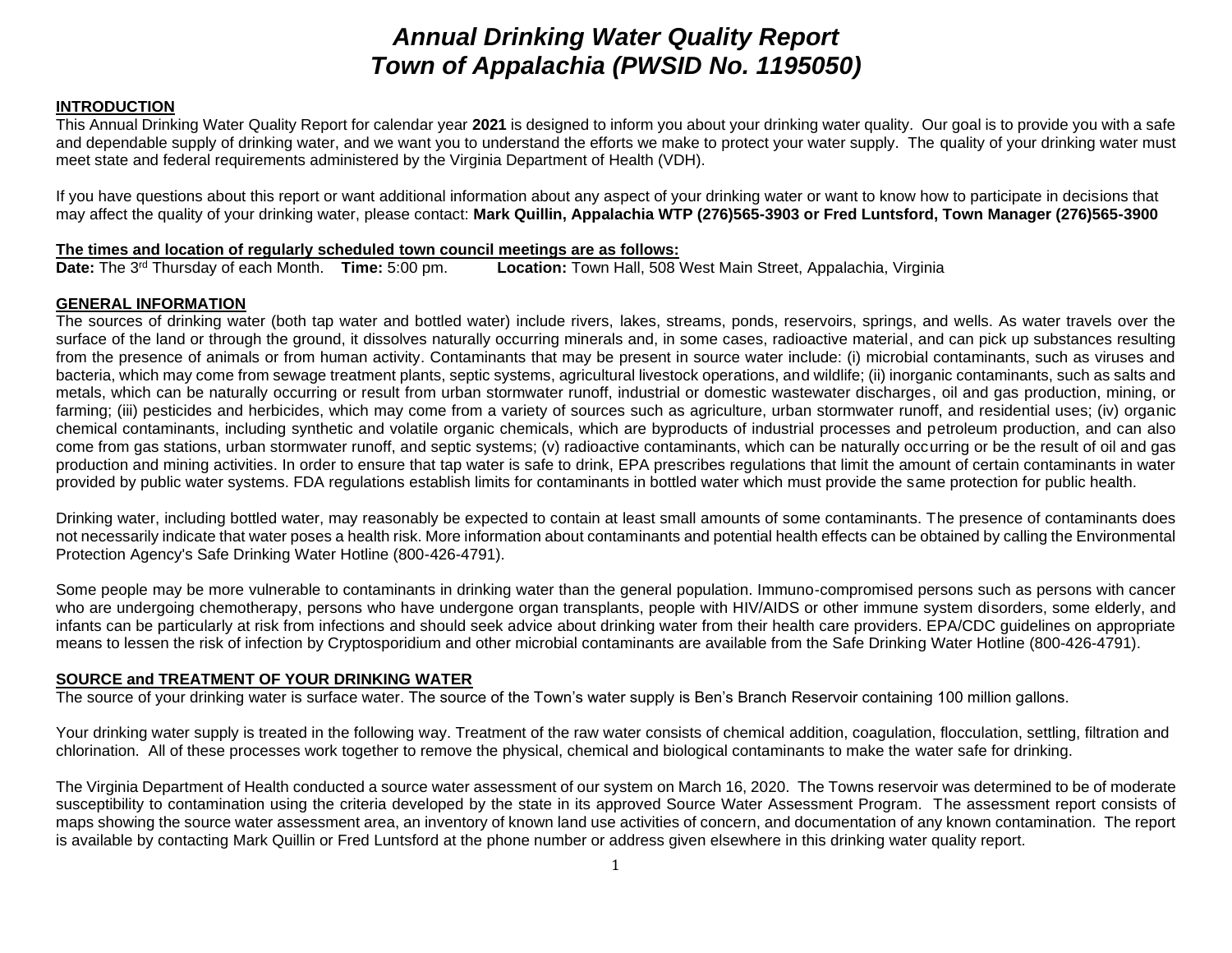# *Annual Drinking Water Quality Report Town of Appalachia (PWSID No. 1195050)*

# **INTRODUCTION**

This Annual Drinking Water Quality Report for calendar year **2021** is designed to inform you about your drinking water quality. Our goal is to provide you with a safe and dependable supply of drinking water, and we want you to understand the efforts we make to protect your water supply. The quality of your drinking water must meet state and federal requirements administered by the Virginia Department of Health (VDH).

If you have questions about this report or want additional information about any aspect of your drinking water or want to know how to participate in decisions that may affect the quality of your drinking water, please contact: **Mark Quillin, Appalachia WTP (276)565-3903 or Fred Luntsford, Town Manager (276)565-3900**

#### **The times and location of regularly scheduled town council meetings are as follows:**

**Date:** The 3rd Thursday of each Month. **Time:** 5:00 pm. **Location:** Town Hall, 508 West Main Street, Appalachia, Virginia

# **GENERAL INFORMATION**

The sources of drinking water (both tap water and bottled water) include rivers, lakes, streams, ponds, reservoirs, springs, and wells. As water travels over the surface of the land or through the ground, it dissolves naturally occurring minerals and, in some cases, radioactive material, and can pick up substances resulting from the presence of animals or from human activity. Contaminants that may be present in source water include: (i) microbial contaminants, such as viruses and bacteria, which may come from sewage treatment plants, septic systems, agricultural livestock operations, and wildlife; (ii) inorganic contaminants, such as salts and metals, which can be naturally occurring or result from urban stormwater runoff, industrial or domestic wastewater discharges, oil and gas production, mining, or farming; (iii) pesticides and herbicides, which may come from a variety of sources such as agriculture, urban stormwater runoff, and residential uses; (iv) organic chemical contaminants, including synthetic and volatile organic chemicals, which are byproducts of industrial processes and petroleum production, and can also come from gas stations, urban stormwater runoff, and septic systems; (v) radioactive contaminants, which can be naturally occurring or be the result of oil and gas production and mining activities. In order to ensure that tap water is safe to drink, EPA prescribes regulations that limit the amount of certain contaminants in water provided by public water systems. FDA regulations establish limits for contaminants in bottled water which must provide the same protection for public health.

Drinking water, including bottled water, may reasonably be expected to contain at least small amounts of some contaminants. The presence of contaminants does not necessarily indicate that water poses a health risk. More information about contaminants and potential health effects can be obtained by calling the Environmental Protection Agency's Safe Drinking Water Hotline (800-426-4791).

Some people may be more vulnerable to contaminants in drinking water than the general population. Immuno-compromised persons such as persons with cancer who are undergoing chemotherapy, persons who have undergone organ transplants, people with HIV/AIDS or other immune system disorders, some elderly, and infants can be particularly at risk from infections and should seek advice about drinking water from their health care providers. EPA/CDC guidelines on appropriate means to lessen the risk of infection by Cryptosporidium and other microbial contaminants are available from the Safe Drinking Water Hotline (800-426-4791).

# **SOURCE and TREATMENT OF YOUR DRINKING WATER**

The source of your drinking water is surface water. The source of the Town's water supply is Ben's Branch Reservoir containing 100 million gallons.

Your drinking water supply is treated in the following way. Treatment of the raw water consists of chemical addition, coagulation, flocculation, settling, filtration and chlorination. All of these processes work together to remove the physical, chemical and biological contaminants to make the water safe for drinking.

The Virginia Department of Health conducted a source water assessment of our system on March 16, 2020. The Towns reservoir was determined to be of moderate susceptibility to contamination using the criteria developed by the state in its approved Source Water Assessment Program. The assessment report consists of maps showing the source water assessment area, an inventory of known land use activities of concern, and documentation of any known contamination. The report is available by contacting Mark Quillin or Fred Luntsford at the phone number or address given elsewhere in this drinking water quality report.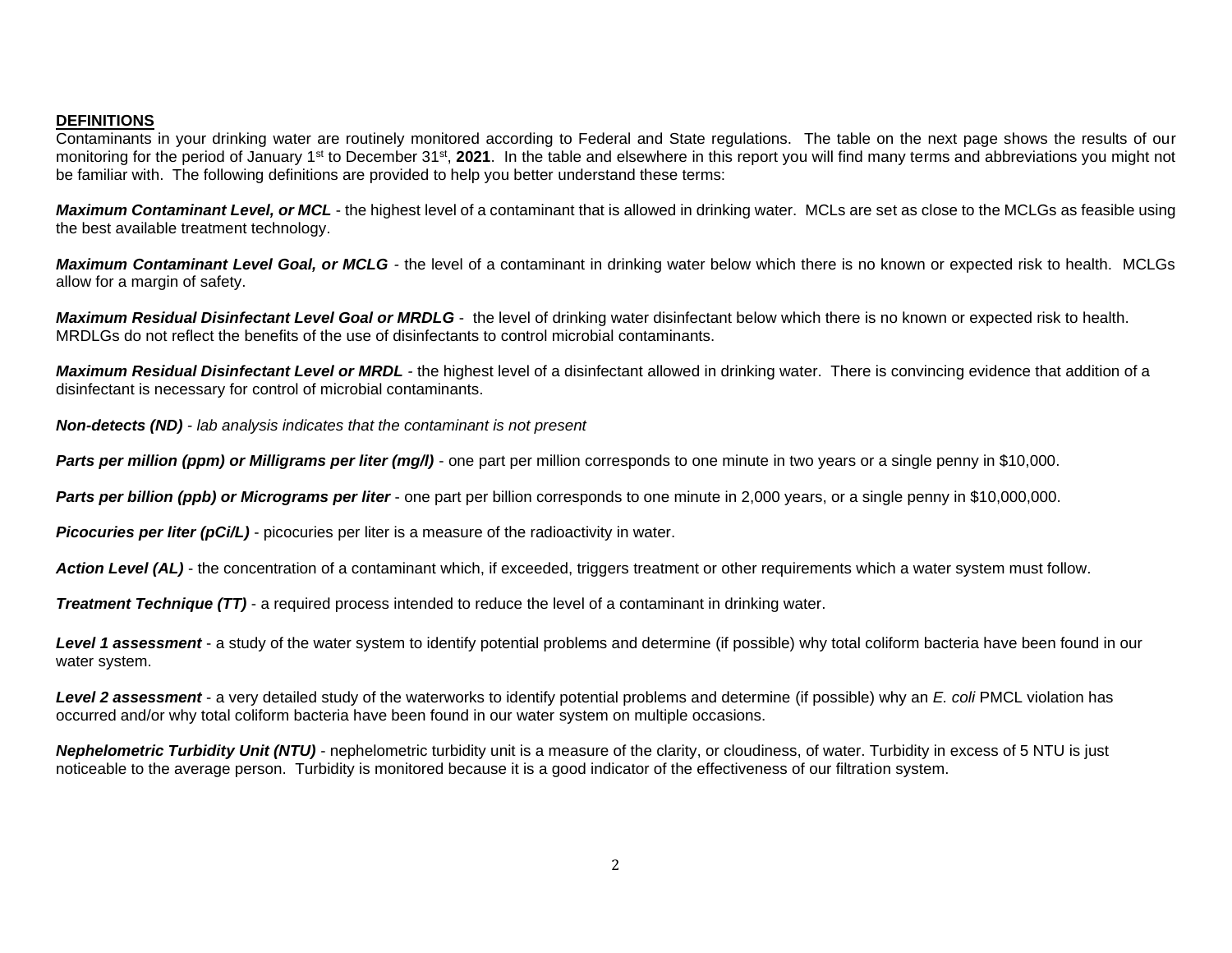# **DEFINITIONS**

Contaminants in your drinking water are routinely monitored according to Federal and State regulations. The table on the next page shows the results of our monitoring for the period of January 1<sup>st</sup> to December 31<sup>st</sup>, 2021. In the table and elsewhere in this report you will find many terms and abbreviations you might not be familiar with. The following definitions are provided to help you better understand these terms:

*Maximum Contaminant Level, or MCL* - the highest level of a contaminant that is allowed in drinking water. MCLs are set as close to the MCLGs as feasible using the best available treatment technology.

*Maximum Contaminant Level Goal, or MCLG -* the level of a contaminant in drinking water below which there is no known or expected risk to health. MCLGs allow for a margin of safety.

*Maximum Residual Disinfectant Level Goal or MRDLG* - the level of drinking water disinfectant below which there is no known or expected risk to health. MRDLGs do not reflect the benefits of the use of disinfectants to control microbial contaminants.

*Maximum Residual Disinfectant Level or MRDL -* the highest level of a disinfectant allowed in drinking water. There is convincing evidence that addition of a disinfectant is necessary for control of microbial contaminants.

*Non-detects (ND) - lab analysis indicates that the contaminant is not present*

**Parts per million (ppm) or Milligrams per liter (mg/l)** - one part per million corresponds to one minute in two years or a single penny in \$10,000.

*Parts per billion (ppb) or Micrograms per liter* - one part per billion corresponds to one minute in 2,000 years, or a single penny in \$10,000,000.

**Picocuries per liter (pCi/L)** - picocuries per liter is a measure of the radioactivity in water.

Action Level *(AL)* - the concentration of a contaminant which, if exceeded, triggers treatment or other requirements which a water system must follow.

*Treatment Technique (TT)* - a required process intended to reduce the level of a contaminant in drinking water.

Level 1 assessment - a study of the water system to identify potential problems and determine (if possible) why total coliform bacteria have been found in our water system.

*Level 2 assessment* - a very detailed study of the waterworks to identify potential problems and determine (if possible) why an *E. coli* PMCL violation has occurred and/or why total coliform bacteria have been found in our water system on multiple occasions.

*Nephelometric Turbidity Unit (NTU)* - nephelometric turbidity unit is a measure of the clarity, or cloudiness, of water. Turbidity in excess of 5 NTU is just noticeable to the average person. Turbidity is monitored because it is a good indicator of the effectiveness of our filtration system.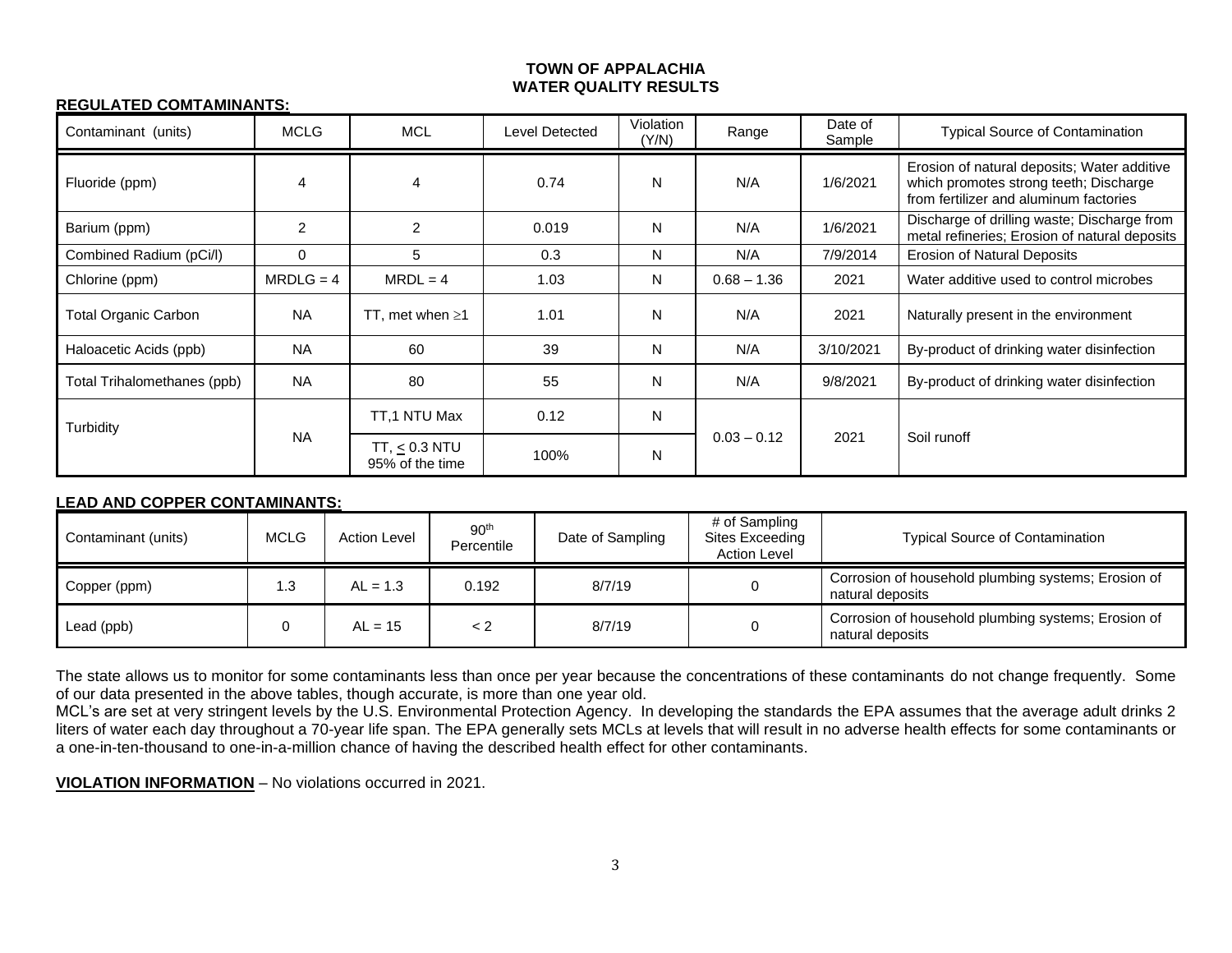# **TOWN OF APPALACHIA WATER QUALITY RESULTS**

#### **REGULATED COMTAMINANTS:**

| Contaminant (units)         | <b>MCLG</b> | <b>MCL</b>                               | Level Detected | Violation<br>(Y/N) | Range         | Date of<br>Sample | <b>Typical Source of Contamination</b>                                                                                          |
|-----------------------------|-------------|------------------------------------------|----------------|--------------------|---------------|-------------------|---------------------------------------------------------------------------------------------------------------------------------|
| Fluoride (ppm)              |             | 4                                        | 0.74           | N                  | N/A           | 1/6/2021          | Erosion of natural deposits; Water additive<br>which promotes strong teeth; Discharge<br>from fertilizer and aluminum factories |
| Barium (ppm)                | 2           | $\overline{2}$                           | 0.019          | N                  | N/A           | 1/6/2021          | Discharge of drilling waste; Discharge from<br>metal refineries; Erosion of natural deposits                                    |
| Combined Radium (pCi/l)     | $\Omega$    | 5                                        | 0.3            | N                  | N/A           | 7/9/2014          | Erosion of Natural Deposits                                                                                                     |
| Chlorine (ppm)              | $MRDLG = 4$ | $MRDL = 4$                               | 1.03           | N                  | $0.68 - 1.36$ | 2021              | Water additive used to control microbes                                                                                         |
| <b>Total Organic Carbon</b> | <b>NA</b>   | TT, met when $\geq 1$                    | 1.01           | N                  | N/A           | 2021              | Naturally present in the environment                                                                                            |
| Haloacetic Acids (ppb)      | <b>NA</b>   | 60                                       | 39             | N                  | N/A           | 3/10/2021         | By-product of drinking water disinfection                                                                                       |
| Total Trihalomethanes (ppb) | <b>NA</b>   | 80                                       | 55             | N                  | N/A           | 9/8/2021          | By-product of drinking water disinfection                                                                                       |
| Turbidity                   | <b>NA</b>   | TT.1 NTU Max                             | 0.12           | N                  | $0.03 - 0.12$ | 2021              | Soil runoff                                                                                                                     |
|                             |             | TT <sub>0.3</sub> NTU<br>95% of the time | 100%           | N                  |               |                   |                                                                                                                                 |

# **LEAD AND COPPER CONTAMINANTS:**

| Contaminant (units) | <b>MCLG</b> | <b>Action Level</b> | 90 <sup>th</sup><br>Percentile | Date of Sampling | # of Sampling<br>Sites Exceeding<br><b>Action Level</b> | <b>Typical Source of Contamination</b>                                  |
|---------------------|-------------|---------------------|--------------------------------|------------------|---------------------------------------------------------|-------------------------------------------------------------------------|
| Copper (ppm)        | 1.3         | $AL = 1.3$          | 0.192                          | 8/7/19           |                                                         | Corrosion of household plumbing systems; Erosion of<br>natural deposits |
| Lead (ppb)          |             | $AL = 15$           | < 2                            | 8/7/19           |                                                         | Corrosion of household plumbing systems; Erosion of<br>natural deposits |

The state allows us to monitor for some contaminants less than once per year because the concentrations of these contaminants do not change frequently. Some of our data presented in the above tables, though accurate, is more than one year old.

MCL's are set at very stringent levels by the U.S. Environmental Protection Agency. In developing the standards the EPA assumes that the average adult drinks 2 liters of water each day throughout a 70-year life span. The EPA generally sets MCLs at levels that will result in no adverse health effects for some contaminants or a one-in-ten-thousand to one-in-a-million chance of having the described health effect for other contaminants.

**VIOLATION INFORMATION** – No violations occurred in 2021.